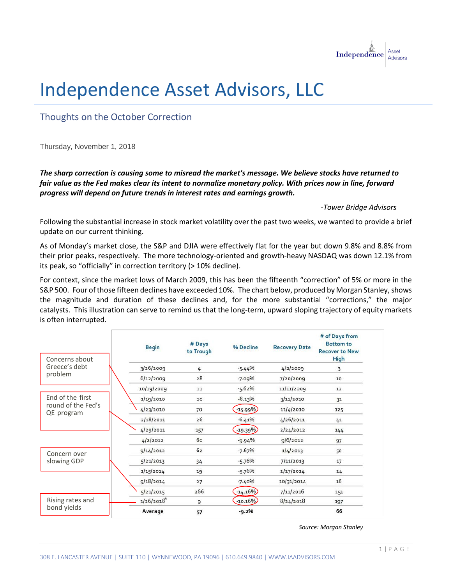

## Independence Asset Advisors, LLC

Thoughts on the October Correction

Thursday, November 1, 2018

*The sharp correction is causing some to misread the market's message. We believe stocks have returned to fair value as the Fed makes clear its intent to normalize monetary policy. With prices now in line, forward progress will depend on future trends in interest rates and earnings growth.* 

*-Tower Bridge Advisors*

Following the substantial increase in stock market volatility over the past two weeks, we wanted to provide a brief update on our current thinking.

As of Monday's market close, the S&P and DJIA were effectively flat for the year but down 9.8% and 8.8% from their prior peaks, respectively. The more technology-oriented and growth-heavy NASDAQ was down 12.1% from its peak, so "officially" in correction territory (> 10% decline).

For context, since the market lows of March 2009, this has been the fifteenth "correction" of 5% or more in the S&P 500. Four of those fifteen declines have exceeded 10%. The chart below, produced by Morgan Stanley, shows the magnitude and duration of these declines and, for the more substantial "corrections," the major catalysts. This illustration can serve to remind us that the long-term, upward sloping trajectory of equity markets is often interrupted.

| Concerns about                                       | <b>Begin</b> | # Days<br>to Trough | % Decline | <b>Recovery Date</b> | # of Days from<br><b>Bottom to</b><br><b>Recover to New</b><br><b>High</b> |
|------------------------------------------------------|--------------|---------------------|-----------|----------------------|----------------------------------------------------------------------------|
| Greece's debt<br>problem                             | 3/26/2009    | 4                   | $-5.44%$  | 4/2/2009             | 3                                                                          |
|                                                      | 6/12/2009    | 28                  | $-7.09%$  | 7/20/2009            | 10                                                                         |
| End of the first<br>round of the Fed's<br>QE program | 10/19/2009   | 11                  | $-5.62%$  | 11/11/2009           | 12                                                                         |
|                                                      | 1/19/2010    | 20                  | $-8.13%$  | 3/11/2010            | 31                                                                         |
|                                                      | 4/23/2010    | 70                  | $-15.99%$ | 11/4/2010            | 125                                                                        |
|                                                      | 2/18/2011    | 26                  | $-6.41%$  | 4/26/2011            | 41                                                                         |
|                                                      | 4/29/2011    | 157                 | $-19.39%$ | 2/24/2012            | 144                                                                        |
| Concern over<br>slowing GDP                          | 4/2/2012     | 60                  | $-9.94%$  | 9/6/2012             | 97                                                                         |
|                                                      | 9/14/2012    | 62                  | $-7.67%$  | 1/4/2013             | 50                                                                         |
|                                                      | 5/21/2013    | 34                  | $-5.76%$  | 7/11/2013            | 17                                                                         |
|                                                      | 1/15/2014    | 19                  | $-5.76%$  | 2/27/2014            | 24                                                                         |
|                                                      | 9/18/2014    | 27                  | $-7.40%$  | 10/31/2014           | 16                                                                         |
|                                                      | 5/21/2015    | 266                 | $-14.16%$ | 7/11/2016            | 151                                                                        |
| Rising rates and<br>bond yields                      | 1/26/2018    | 9                   | $-10.16%$ | 8/24/2018            | 197                                                                        |
|                                                      | Average      | 57                  | $-9.2%$   |                      | 66                                                                         |

*Source: Morgan Stanley*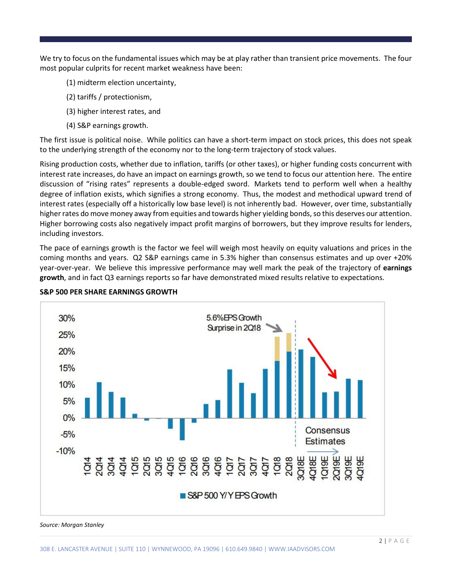We try to focus on the fundamental issues which may be at play rather than transient price movements. The four most popular culprits for recent market weakness have been:

- (1) midterm election uncertainty,
- (2) tariffs / protectionism,
- (3) higher interest rates, and
- (4) S&P earnings growth.

The first issue is political noise. While politics can have a short-term impact on stock prices, this does not speak to the underlying strength of the economy nor to the long-term trajectory of stock values.

Rising production costs, whether due to inflation, tariffs (or other taxes), or higher funding costs concurrent with interest rate increases, do have an impact on earnings growth, so we tend to focus our attention here. The entire discussion of "rising rates" represents a double-edged sword. Markets tend to perform well when a healthy degree of inflation exists, which signifies a strong economy. Thus, the modest and methodical upward trend of interest rates (especially off a historically low base level) is not inherently bad. However, over time, substantially higher rates do move money away from equities and towards higher yielding bonds, so this deserves our attention. Higher borrowing costs also negatively impact profit margins of borrowers, but they improve results for lenders, including investors.

The pace of earnings growth is the factor we feel will weigh most heavily on equity valuations and prices in the coming months and years. Q2 S&P earnings came in 5.3% higher than consensus estimates and up over +20% year-over-year. We believe this impressive performance may well mark the peak of the trajectory of **earnings growth**, and in fact Q3 earnings reports so far have demonstrated mixed results relative to expectations.



**S&P 500 PER SHARE EARNINGS GROWTH**

## *Source: Morgan Stanley*